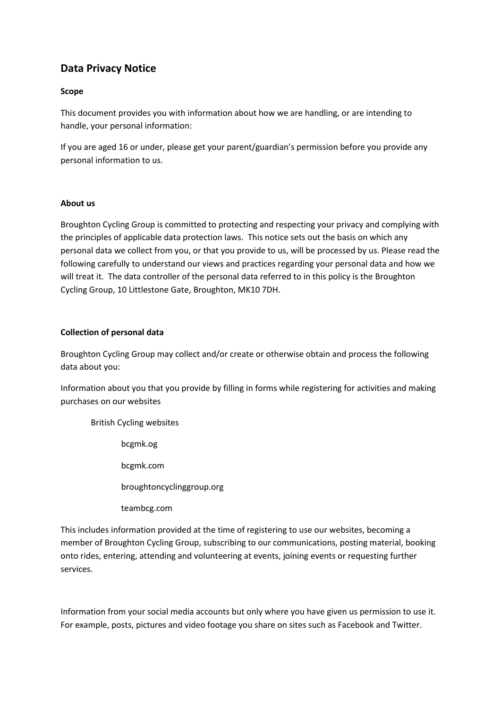# **Data Privacy Notice**

# **Scope**

This document provides you with information about how we are handling, or are intending to handle, your personal information:

If you are aged 16 or under, please get your parent/guardian's permission before you provide any personal information to us.

# **About us**

Broughton Cycling Group is committed to protecting and respecting your privacy and complying with the principles of applicable data protection laws. This notice sets out the basis on which any personal data we collect from you, or that you provide to us, will be processed by us. Please read the following carefully to understand our views and practices regarding your personal data and how we will treat it. The data controller of the personal data referred to in this policy is the Broughton Cycling Group, 10 Littlestone Gate, Broughton, MK10 7DH.

# **Collection of personal data**

Broughton Cycling Group may collect and/or create or otherwise obtain and process the following data about you:

Information about you that you provide by filling in forms while registering for activities and making purchases on our websites

British Cycling websites bcgmk.og bcgmk.com broughtoncyclinggroup.org teambcg.com

This includes information provided at the time of registering to use our websites, becoming a member of Broughton Cycling Group, subscribing to our communications, posting material, booking onto rides, entering, attending and volunteering at events, joining events or requesting further services.

Information from your social media accounts but only where you have given us permission to use it. For example, posts, pictures and video footage you share on sites such as Facebook and Twitter.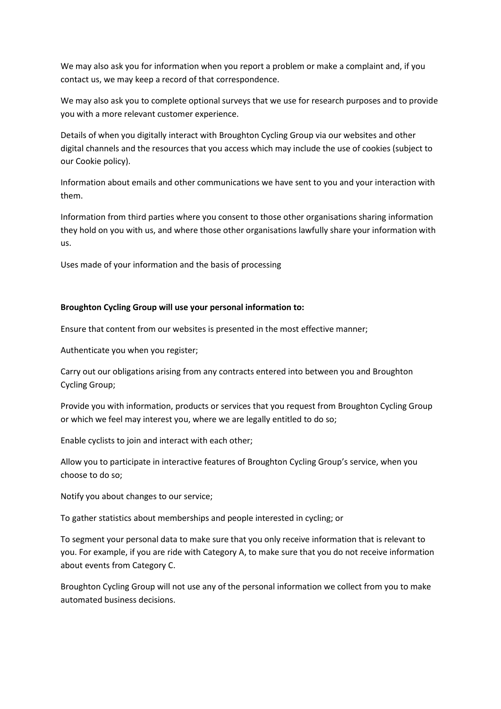We may also ask you for information when you report a problem or make a complaint and, if you contact us, we may keep a record of that correspondence.

We may also ask you to complete optional surveys that we use for research purposes and to provide you with a more relevant customer experience.

Details of when you digitally interact with Broughton Cycling Group via our websites and other digital channels and the resources that you access which may include the use of cookies (subject to our Cookie policy).

Information about emails and other communications we have sent to you and your interaction with them.

Information from third parties where you consent to those other organisations sharing information they hold on you with us, and where those other organisations lawfully share your information with us.

Uses made of your information and the basis of processing

# **Broughton Cycling Group will use your personal information to:**

Ensure that content from our websites is presented in the most effective manner;

Authenticate you when you register;

Carry out our obligations arising from any contracts entered into between you and Broughton Cycling Group;

Provide you with information, products or services that you request from Broughton Cycling Group or which we feel may interest you, where we are legally entitled to do so;

Enable cyclists to join and interact with each other;

Allow you to participate in interactive features of Broughton Cycling Group's service, when you choose to do so;

Notify you about changes to our service;

To gather statistics about memberships and people interested in cycling; or

To segment your personal data to make sure that you only receive information that is relevant to you. For example, if you are ride with Category A, to make sure that you do not receive information about events from Category C.

Broughton Cycling Group will not use any of the personal information we collect from you to make automated business decisions.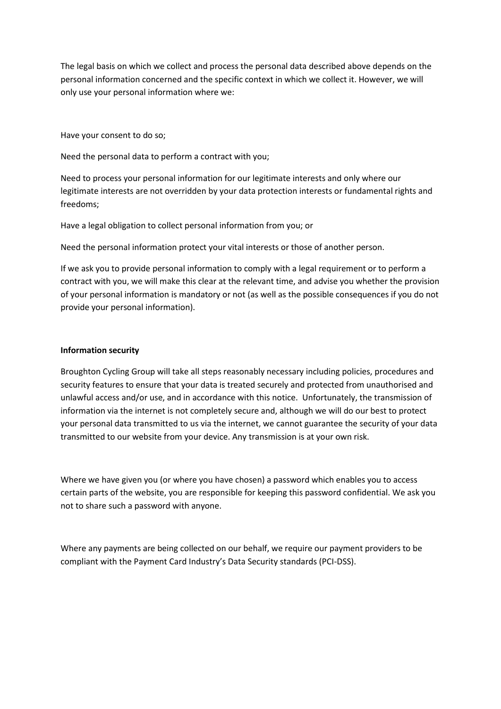The legal basis on which we collect and process the personal data described above depends on the personal information concerned and the specific context in which we collect it. However, we will only use your personal information where we:

Have your consent to do so;

Need the personal data to perform a contract with you;

Need to process your personal information for our legitimate interests and only where our legitimate interests are not overridden by your data protection interests or fundamental rights and freedoms;

Have a legal obligation to collect personal information from you; or

Need the personal information protect your vital interests or those of another person.

If we ask you to provide personal information to comply with a legal requirement or to perform a contract with you, we will make this clear at the relevant time, and advise you whether the provision of your personal information is mandatory or not (as well as the possible consequences if you do not provide your personal information).

## **Information security**

Broughton Cycling Group will take all steps reasonably necessary including policies, procedures and security features to ensure that your data is treated securely and protected from unauthorised and unlawful access and/or use, and in accordance with this notice. Unfortunately, the transmission of information via the internet is not completely secure and, although we will do our best to protect your personal data transmitted to us via the internet, we cannot guarantee the security of your data transmitted to our website from your device. Any transmission is at your own risk.

Where we have given you (or where you have chosen) a password which enables you to access certain parts of the website, you are responsible for keeping this password confidential. We ask you not to share such a password with anyone.

Where any payments are being collected on our behalf, we require our payment providers to be compliant with the Payment Card Industry's Data Security standards (PCI-DSS).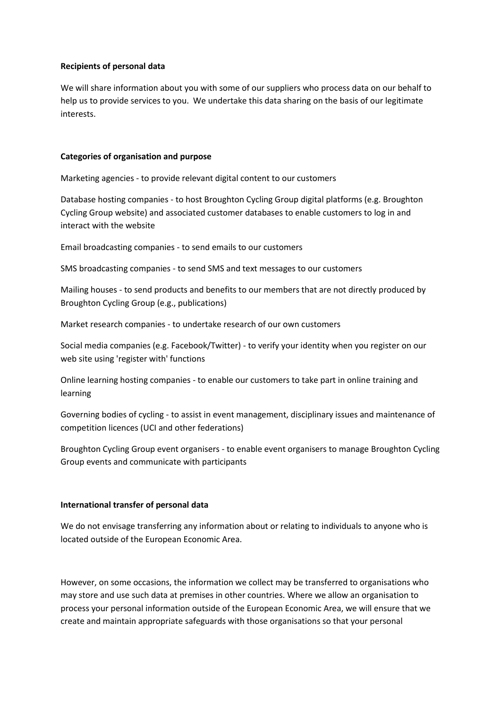## **Recipients of personal data**

We will share information about you with some of our suppliers who process data on our behalf to help us to provide services to you. We undertake this data sharing on the basis of our legitimate interests.

#### **Categories of organisation and purpose**

Marketing agencies - to provide relevant digital content to our customers

Database hosting companies - to host Broughton Cycling Group digital platforms (e.g. Broughton Cycling Group website) and associated customer databases to enable customers to log in and interact with the website

Email broadcasting companies - to send emails to our customers

SMS broadcasting companies - to send SMS and text messages to our customers

Mailing houses - to send products and benefits to our members that are not directly produced by Broughton Cycling Group (e.g., publications)

Market research companies - to undertake research of our own customers

Social media companies (e.g. Facebook/Twitter) - to verify your identity when you register on our web site using 'register with' functions

Online learning hosting companies - to enable our customers to take part in online training and learning

Governing bodies of cycling - to assist in event management, disciplinary issues and maintenance of competition licences (UCI and other federations)

Broughton Cycling Group event organisers - to enable event organisers to manage Broughton Cycling Group events and communicate with participants

## **International transfer of personal data**

We do not envisage transferring any information about or relating to individuals to anyone who is located outside of the European Economic Area.

However, on some occasions, the information we collect may be transferred to organisations who may store and use such data at premises in other countries. Where we allow an organisation to process your personal information outside of the European Economic Area, we will ensure that we create and maintain appropriate safeguards with those organisations so that your personal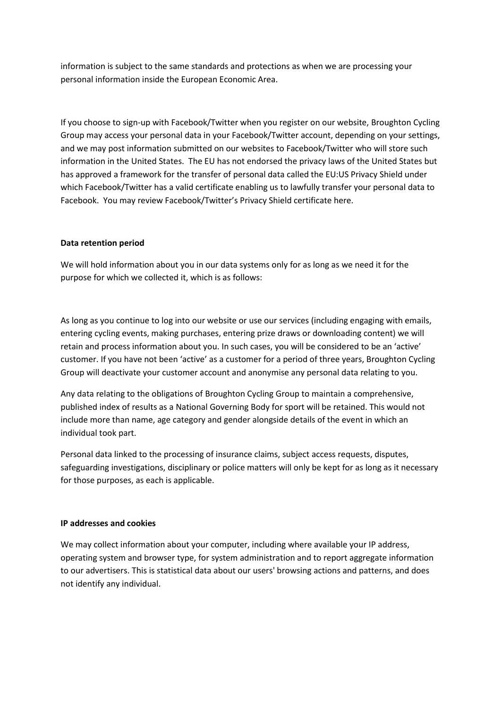information is subject to the same standards and protections as when we are processing your personal information inside the European Economic Area.

If you choose to sign-up with Facebook/Twitter when you register on our website, Broughton Cycling Group may access your personal data in your Facebook/Twitter account, depending on your settings, and we may post information submitted on our websites to Facebook/Twitter who will store such information in the United States. The EU has not endorsed the privacy laws of the United States but has approved a framework for the transfer of personal data called the EU:US Privacy Shield under which Facebook/Twitter has a valid certificate enabling us to lawfully transfer your personal data to Facebook. You may review Facebook/Twitter's Privacy Shield certificate here.

# **Data retention period**

We will hold information about you in our data systems only for as long as we need it for the purpose for which we collected it, which is as follows:

As long as you continue to log into our website or use our services (including engaging with emails, entering cycling events, making purchases, entering prize draws or downloading content) we will retain and process information about you. In such cases, you will be considered to be an 'active' customer. If you have not been 'active' as a customer for a period of three years, Broughton Cycling Group will deactivate your customer account and anonymise any personal data relating to you.

Any data relating to the obligations of Broughton Cycling Group to maintain a comprehensive, published index of results as a National Governing Body for sport will be retained. This would not include more than name, age category and gender alongside details of the event in which an individual took part.

Personal data linked to the processing of insurance claims, subject access requests, disputes, safeguarding investigations, disciplinary or police matters will only be kept for as long as it necessary for those purposes, as each is applicable.

## **IP addresses and cookies**

We may collect information about your computer, including where available your IP address, operating system and browser type, for system administration and to report aggregate information to our advertisers. This is statistical data about our users' browsing actions and patterns, and does not identify any individual.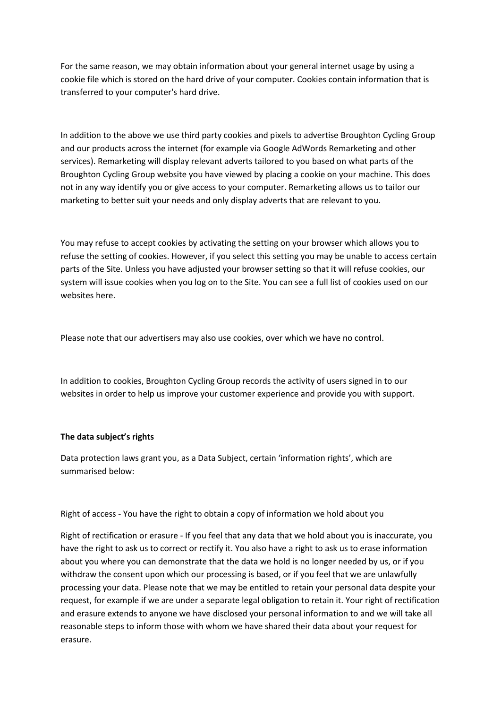For the same reason, we may obtain information about your general internet usage by using a cookie file which is stored on the hard drive of your computer. Cookies contain information that is transferred to your computer's hard drive.

In addition to the above we use third party cookies and pixels to advertise Broughton Cycling Group and our products across the internet (for example via Google AdWords Remarketing and other services). Remarketing will display relevant adverts tailored to you based on what parts of the Broughton Cycling Group website you have viewed by placing a cookie on your machine. This does not in any way identify you or give access to your computer. Remarketing allows us to tailor our marketing to better suit your needs and only display adverts that are relevant to you.

You may refuse to accept cookies by activating the setting on your browser which allows you to refuse the setting of cookies. However, if you select this setting you may be unable to access certain parts of the Site. Unless you have adjusted your browser setting so that it will refuse cookies, our system will issue cookies when you log on to the Site. You can see a full list of cookies used on our websites here.

Please note that our advertisers may also use cookies, over which we have no control.

In addition to cookies, Broughton Cycling Group records the activity of users signed in to our websites in order to help us improve your customer experience and provide you with support.

# **The data subject's rights**

Data protection laws grant you, as a Data Subject, certain 'information rights', which are summarised below:

Right of access - You have the right to obtain a copy of information we hold about you

Right of rectification or erasure - If you feel that any data that we hold about you is inaccurate, you have the right to ask us to correct or rectify it. You also have a right to ask us to erase information about you where you can demonstrate that the data we hold is no longer needed by us, or if you withdraw the consent upon which our processing is based, or if you feel that we are unlawfully processing your data. Please note that we may be entitled to retain your personal data despite your request, for example if we are under a separate legal obligation to retain it. Your right of rectification and erasure extends to anyone we have disclosed your personal information to and we will take all reasonable steps to inform those with whom we have shared their data about your request for erasure.